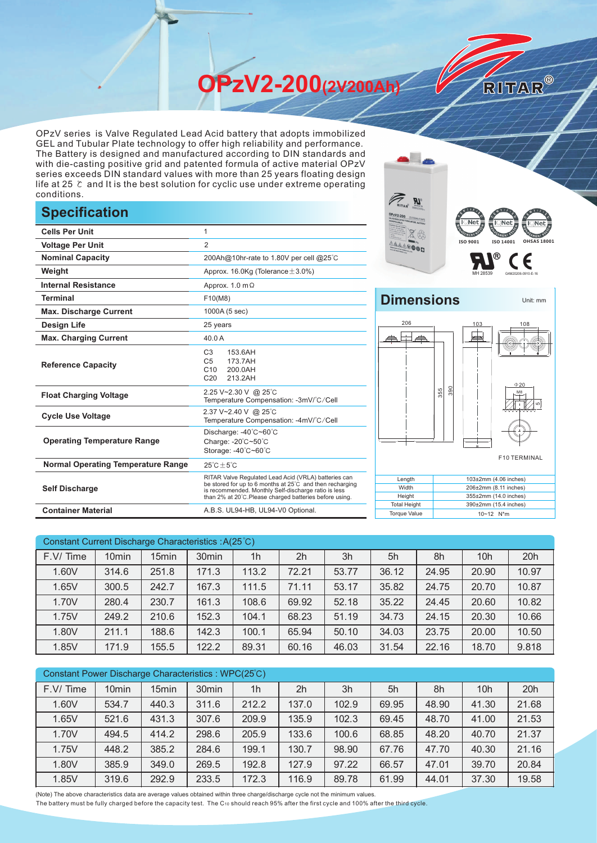**OPzV2-200(2V200Ah)** 

OPzV series is Valve Regulated Lead Acid battery that adopts immobilized GEL and Tubular Plate technology to offer high reliability and performance. The Battery is designed and manufactured according to DIN standards and with die-casting positive grid and patented formula of active material OPzV series exceeds DIN standard values with more than 25 years floating design life at 25 ℃ and It is the best solution for cyclic use under extreme operating conditions.

## **Specification**

|                                           |                                                                                                                                                                                                                                     | <b>AULAR CEL BATTERY</b>                                                   | <b>RION</b><br>ह्∎ Net ह |  |  |
|-------------------------------------------|-------------------------------------------------------------------------------------------------------------------------------------------------------------------------------------------------------------------------------------|----------------------------------------------------------------------------|--------------------------|--|--|
| <b>Cells Per Unit</b>                     | 1                                                                                                                                                                                                                                   |                                                                            |                          |  |  |
| <b>Voltage Per Unit</b>                   | 2                                                                                                                                                                                                                                   |                                                                            | ISO 9001<br>ISO 140      |  |  |
| <b>Nominal Capacity</b>                   | 200Ah@10hr-rate to 1.80V per cell @25°C                                                                                                                                                                                             |                                                                            | (R)                      |  |  |
| Weight                                    | Approx. 16.0Kg (Tolerance $\pm$ 3.0%)                                                                                                                                                                                               |                                                                            |                          |  |  |
| <b>Internal Resistance</b>                | Approx. $1.0 \text{ m}\Omega$                                                                                                                                                                                                       |                                                                            |                          |  |  |
| <b>Terminal</b>                           | F10(M8)                                                                                                                                                                                                                             | <b>Dimensions</b>                                                          |                          |  |  |
| <b>Max. Discharge Current</b>             | 1000A (5 sec)                                                                                                                                                                                                                       |                                                                            |                          |  |  |
| <b>Design Life</b>                        | 25 years                                                                                                                                                                                                                            | 206                                                                        | 103                      |  |  |
| <b>Max. Charging Current</b>              | 40.0 A                                                                                                                                                                                                                              |                                                                            | к                        |  |  |
| <b>Reference Capacity</b>                 | C <sub>3</sub><br>153.6AH<br>C <sub>5</sub><br>173.7AH<br>C10<br>200.0AH<br>C <sub>20</sub><br>213.2AH                                                                                                                              |                                                                            |                          |  |  |
| <b>Float Charging Voltage</b>             | 2.25 V~2.30 V @ 25°C<br>Temperature Compensation: -3mV/°C/Cell                                                                                                                                                                      | 355                                                                        | S <sub>0</sub><br>ţ      |  |  |
| <b>Cycle Use Voltage</b>                  | 2.37 V~2.40 V @ 25°C<br>Temperature Compensation: -4mV/°C/Cell                                                                                                                                                                      |                                                                            |                          |  |  |
| <b>Operating Temperature Range</b>        | Discharge: -40°C~60°C<br>Charge: -20°C~50°C<br>Storage: -40°C~60°C                                                                                                                                                                  |                                                                            | F10                      |  |  |
| <b>Normal Operating Temperature Range</b> | $25^{\circ}$ C $\pm 5^{\circ}$ C                                                                                                                                                                                                    |                                                                            |                          |  |  |
| <b>Self Discharge</b>                     | RITAR Valve Regulated Lead Acid (VRLA) batteries can<br>be stored for up to 6 months at 25°C and then recharging<br>is recommended. Monthly Self-discharge ratio is less<br>than 2% at 20°C. Please charged batteries before using. |                                                                            |                          |  |  |
| <b>Container Material</b>                 | A.B.S. UL94-HB, UL94-V0 Optional.                                                                                                                                                                                                   | <b>Total Height</b><br>390±2mm (15.4 i<br><b>Torque Value</b><br>10~12 N*m |                          |  |  |



Unit: mm

RITAR®

## **Dimensions**



| Width               | 206±2mm (8.11 inches)      |  |  |  |  |
|---------------------|----------------------------|--|--|--|--|
| Height              | 355±2mm (14.0 inches)      |  |  |  |  |
| <b>Total Height</b> | 390±2mm (15.4 inches)      |  |  |  |  |
| <b>Torque Value</b> | $10 - 12$ N <sup>*</sup> m |  |  |  |  |
|                     |                            |  |  |  |  |

| Constant Current Discharge Characteristics: A(25°C) |                   |                   |                   |                |                |       |       |       |                 |       |
|-----------------------------------------------------|-------------------|-------------------|-------------------|----------------|----------------|-------|-------|-------|-----------------|-------|
| F.V/Time                                            | 10 <sub>min</sub> | 15 <sub>min</sub> | 30 <sub>min</sub> | 1 <sub>h</sub> | 2 <sub>h</sub> | 3h    | 5h    | 8h    | 10 <sub>h</sub> | 20h   |
| 1.60V                                               | 314.6             | 251.8             | 171.3             | 113.2          | 72.21          | 53.77 | 36.12 | 24.95 | 20.90           | 10.97 |
| 1.65V                                               | 300.5             | 242.7             | 167.3             | 111.5          | 71.11          | 53.17 | 35.82 | 24.75 | 20.70           | 10.87 |
| 1.70V                                               | 280.4             | 230.7             | 161.3             | 108.6          | 69.92          | 52.18 | 35.22 | 24.45 | 20.60           | 10.82 |
| 1.75V                                               | 249.2             | 210.6             | 152.3             | 104.1          | 68.23          | 51.19 | 34.73 | 24.15 | 20.30           | 10.66 |
| 1.80V                                               | 211.1             | 188.6             | 142.3             | 100.1          | 65.94          | 50.10 | 34.03 | 23.75 | 20.00           | 10.50 |
| 1.85V                                               | 171.9             | 155.5             | 122.2             | 89.31          | 60.16          | 46.03 | 31.54 | 22.16 | 18.70           | 9.818 |

| Constant Power Discharge Characteristics: WPC(25°C) |                   |       |                   |                |       |       |       |       |                 |       |
|-----------------------------------------------------|-------------------|-------|-------------------|----------------|-------|-------|-------|-------|-----------------|-------|
| F.V/Time                                            | 10 <sub>min</sub> | 15min | 30 <sub>min</sub> | 1 <sub>h</sub> | 2h    | 3h    | 5h    | 8h    | 10 <sub>h</sub> | 20h   |
| 1.60V                                               | 534.7             | 440.3 | 311.6             | 212.2          | 137.0 | 102.9 | 69.95 | 48.90 | 41.30           | 21.68 |
| 1.65V                                               | 521.6             | 431.3 | 307.6             | 209.9          | 135.9 | 102.3 | 69.45 | 48.70 | 41.00           | 21.53 |
| 1.70V                                               | 494.5             | 414.2 | 298.6             | 205.9          | 133.6 | 100.6 | 68.85 | 48.20 | 40.70           | 21.37 |
| 1.75V                                               | 448.2             | 385.2 | 284.6             | 199.1          | 130.7 | 98.90 | 67.76 | 47.70 | 40.30           | 21.16 |
| 1.80V                                               | 385.9             | 349.0 | 269.5             | 192.8          | 127.9 | 97.22 | 66.57 | 47.01 | 39.70           | 20.84 |
| 1.85V                                               | 319.6             | 292.9 | 233.5             | 172.3          | 116.9 | 89.78 | 61.99 | 44.01 | 37.30           | 19.58 |

(Note) The above characteristics data are average values obtained within three charge/discharge cycle not the minimum values.

The battery must be fully charged before the capacity test. The C10 should reach 95% after the first cycle and 100% after the third cycle.